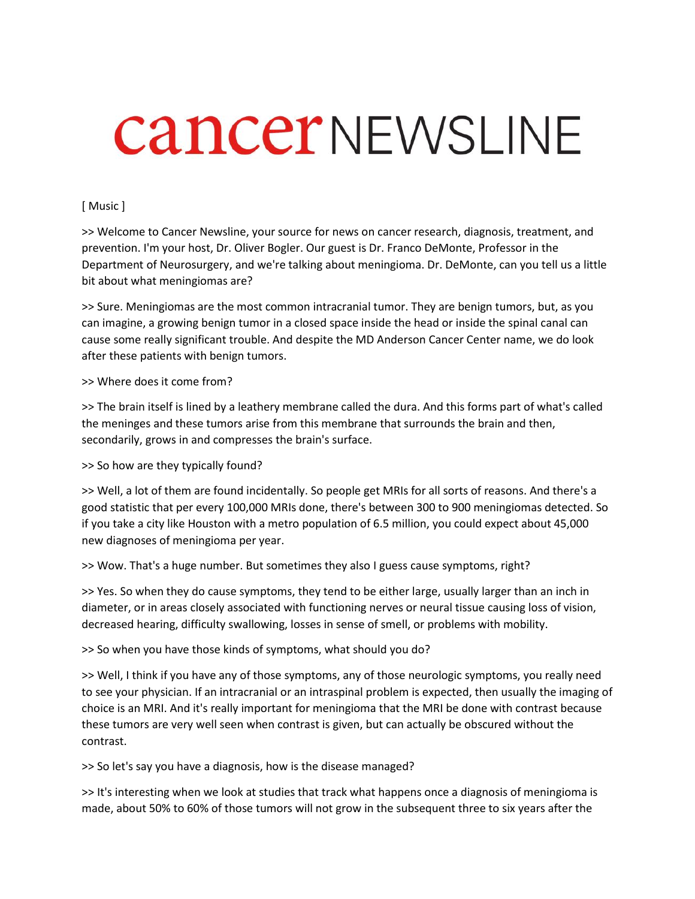## **CancerNEWSLINE**

## [ Music ]

>> Welcome to Cancer Newsline, your source for news on cancer research, diagnosis, treatment, and prevention. I'm your host, Dr. Oliver Bogler. Our guest is Dr. Franco DeMonte, Professor in the Department of Neurosurgery, and we're talking about meningioma. Dr. DeMonte, can you tell us a little bit about what meningiomas are?

>> Sure. Meningiomas are the most common intracranial tumor. They are benign tumors, but, as you can imagine, a growing benign tumor in a closed space inside the head or inside the spinal canal can cause some really significant trouble. And despite the MD Anderson Cancer Center name, we do look after these patients with benign tumors.

## >> Where does it come from?

>> The brain itself is lined by a leathery membrane called the dura. And this forms part of what's called the meninges and these tumors arise from this membrane that surrounds the brain and then, secondarily, grows in and compresses the brain's surface.

>> So how are they typically found?

>> Well, a lot of them are found incidentally. So people get MRIs for all sorts of reasons. And there's a good statistic that per every 100,000 MRIs done, there's between 300 to 900 meningiomas detected. So if you take a city like Houston with a metro population of 6.5 million, you could expect about 45,000 new diagnoses of meningioma per year.

>> Wow. That's a huge number. But sometimes they also I guess cause symptoms, right?

>> Yes. So when they do cause symptoms, they tend to be either large, usually larger than an inch in diameter, or in areas closely associated with functioning nerves or neural tissue causing loss of vision, decreased hearing, difficulty swallowing, losses in sense of smell, or problems with mobility.

>> So when you have those kinds of symptoms, what should you do?

>> Well, I think if you have any of those symptoms, any of those neurologic symptoms, you really need to see your physician. If an intracranial or an intraspinal problem is expected, then usually the imaging of choice is an MRI. And it's really important for meningioma that the MRI be done with contrast because these tumors are very well seen when contrast is given, but can actually be obscured without the contrast.

>> So let's say you have a diagnosis, how is the disease managed?

>> It's interesting when we look at studies that track what happens once a diagnosis of meningioma is made, about 50% to 60% of those tumors will not grow in the subsequent three to six years after the